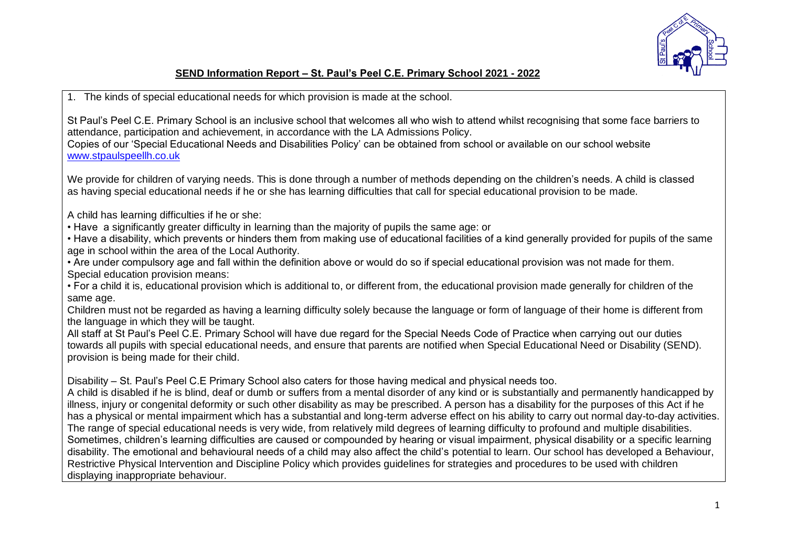

## **SEND Information Report – St. Paul's Peel C.E. Primary School 2021 - 2022**

1. The kinds of special educational needs for which provision is made at the school.

St Paul's Peel C.E. Primary School is an inclusive school that welcomes all who wish to attend whilst recognising that some face barriers to attendance, participation and achievement, in accordance with the LA Admissions Policy.

Copies of our 'Special Educational Needs and Disabilities Policy' can be obtained from school or available on our school website [www.stpaulspeellh.co.uk](http://www.stpaulspeellh.co.uk/)

We provide for children of varying needs. This is done through a number of methods depending on the children's needs. A child is classed as having special educational needs if he or she has learning difficulties that call for special educational provision to be made.

A child has learning difficulties if he or she:

• Have a significantly greater difficulty in learning than the majority of pupils the same age: or

• Have a disability, which prevents or hinders them from making use of educational facilities of a kind generally provided for pupils of the same age in school within the area of the Local Authority.

• Are under compulsory age and fall within the definition above or would do so if special educational provision was not made for them. Special education provision means:

• For a child it is, educational provision which is additional to, or different from, the educational provision made generally for children of the same age.

Children must not be regarded as having a learning difficulty solely because the language or form of language of their home is different from the language in which they will be taught.

All staff at St Paul's Peel C.E. Primary School will have due regard for the Special Needs Code of Practice when carrying out our duties towards all pupils with special educational needs, and ensure that parents are notified when Special Educational Need or Disability (SEND). provision is being made for their child.

Disability – St. Paul's Peel C.E Primary School also caters for those having medical and physical needs too.

A child is disabled if he is blind, deaf or dumb or suffers from a mental disorder of any kind or is substantially and permanently handicapped by illness, injury or congenital deformity or such other disability as may be prescribed. A person has a disability for the purposes of this Act if he has a physical or mental impairment which has a substantial and long-term adverse effect on his ability to carry out normal day-to-day activities. The range of special educational needs is very wide, from relatively mild degrees of learning difficulty to profound and multiple disabilities. Sometimes, children's learning difficulties are caused or compounded by hearing or visual impairment, physical disability or a specific learning disability. The emotional and behavioural needs of a child may also affect the child's potential to learn. Our school has developed a Behaviour, Restrictive Physical Intervention and Discipline Policy which provides guidelines for strategies and procedures to be used with children displaying inappropriate behaviour.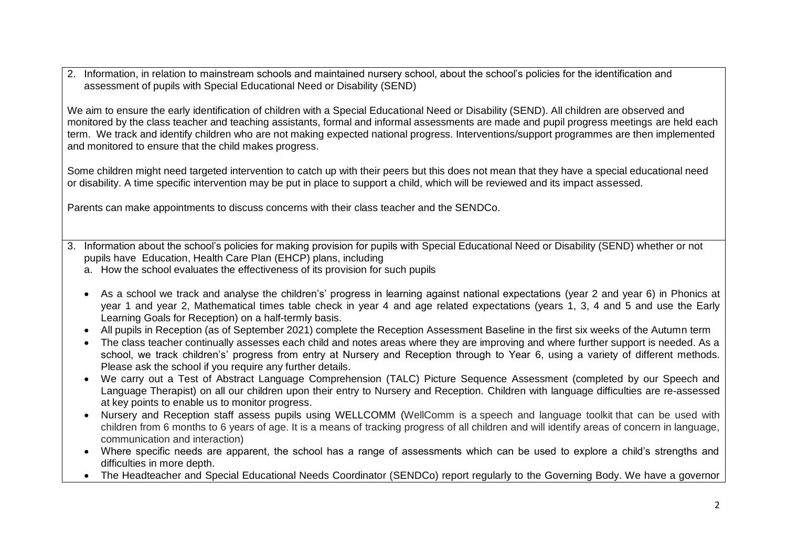2. Information, in relation to mainstream schools and maintained nursery school, about the school's policies for the identification and assessment of pupils with Special Educational Need or Disability (SEND)

We aim to ensure the early identification of children with a Special Educational Need or Disability (SEND). All children are observed and monitored by the class teacher and teaching assistants, formal and informal assessments are made and pupil progress meetings are held each term. We track and identify children who are not making expected national progress. Interventions/support programmes are then implemented and monitored to ensure that the child makes progress.

Some children might need targeted intervention to catch up with their peers but this does not mean that they have a special educational need or disability. A time specific intervention may be put in place to support a child, which will be reviewed and its impact assessed.

Parents can make appointments to discuss concerns with their class teacher and the SENDCo.

- 3. Information about the school's policies for making provision for pupils with Special Educational Need or Disability (SEND) whether or not pupils have Education, Health Care Plan (EHCP) plans, including
	- a. How the school evaluates the effectiveness of its provision for such pupils
	- As a school we track and analyse the children's' progress in learning against national expectations (year 2 and year 6) in Phonics at year 1 and year 2, Mathematical times table check in year 4 and age related expectations (years 1, 3, 4 and 5 and use the Early Learning Goals for Reception) on a half-termly basis.
	- All pupils in Reception (as of September 2021) complete the Reception Assessment Baseline in the first six weeks of the Autumn term
	- The class teacher continually assesses each child and notes areas where they are improving and where further support is needed. As a school, we track children's' progress from entry at Nursery and Reception through to Year 6, using a variety of different methods. Please ask the school if you require any further details.
	- We carry out a Test of Abstract Language Comprehension (TALC) Picture Sequence Assessment (completed by our Speech and Language Therapist) on all our children upon their entry to Nursery and Reception. Children with language difficulties are re-assessed at key points to enable us to monitor progress.
	- Nursery and Reception staff assess pupils using WELLCOMM (WellComm is a speech and language toolkit that can be used with children from 6 months to 6 years of age. It is a means of tracking progress of all children and will identify areas of concern in language, communication and interaction)
	- Where specific needs are apparent, the school has a range of assessments which can be used to explore a child's strengths and difficulties in more depth.
	- The Headteacher and Special Educational Needs Coordinator (SENDCo) report regularly to the Governing Body. We have a governor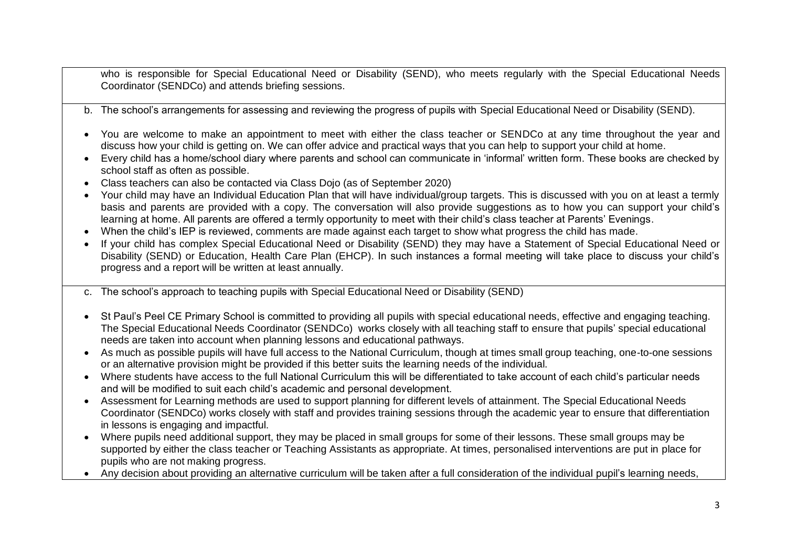who is responsible for Special Educational Need or Disability (SEND), who meets regularly with the Special Educational Needs Coordinator (SENDCo) and attends briefing sessions.

- b. The school's arrangements for assessing and reviewing the progress of pupils with Special Educational Need or Disability (SEND).
- You are welcome to make an appointment to meet with either the class teacher or SENDCo at any time throughout the year and discuss how your child is getting on. We can offer advice and practical ways that you can help to support your child at home.
- Every child has a home/school diary where parents and school can communicate in 'informal' written form. These books are checked by school staff as often as possible.
- Class teachers can also be contacted via Class Dojo (as of September 2020)
- Your child may have an Individual Education Plan that will have individual/group targets. This is discussed with you on at least a termly basis and parents are provided with a copy. The conversation will also provide suggestions as to how you can support your child's learning at home. All parents are offered a termly opportunity to meet with their child's class teacher at Parents' Evenings.
- When the child's IEP is reviewed, comments are made against each target to show what progress the child has made.
- If your child has complex Special Educational Need or Disability (SEND) they may have a Statement of Special Educational Need or Disability (SEND) or Education, Health Care Plan (EHCP). In such instances a formal meeting will take place to discuss your child's progress and a report will be written at least annually.
- c. The school's approach to teaching pupils with Special Educational Need or Disability (SEND)
- St Paul's Peel CE Primary School is committed to providing all pupils with special educational needs, effective and engaging teaching. The Special Educational Needs Coordinator (SENDCo) works closely with all teaching staff to ensure that pupils' special educational needs are taken into account when planning lessons and educational pathways.
- As much as possible pupils will have full access to the National Curriculum, though at times small group teaching, one-to-one sessions or an alternative provision might be provided if this better suits the learning needs of the individual.
- Where students have access to the full National Curriculum this will be differentiated to take account of each child's particular needs and will be modified to suit each child's academic and personal development.
- Assessment for Learning methods are used to support planning for different levels of attainment. The Special Educational Needs Coordinator (SENDCo) works closely with staff and provides training sessions through the academic year to ensure that differentiation in lessons is engaging and impactful.
- Where pupils need additional support, they may be placed in small groups for some of their lessons. These small groups may be supported by either the class teacher or Teaching Assistants as appropriate. At times, personalised interventions are put in place for pupils who are not making progress.
- Any decision about providing an alternative curriculum will be taken after a full consideration of the individual pupil's learning needs,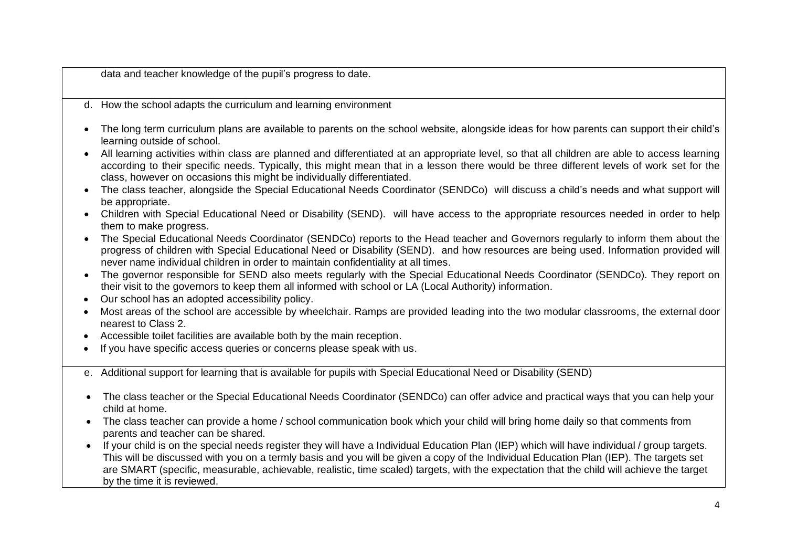data and teacher knowledge of the pupil's progress to date.

- d. How the school adapts the curriculum and learning environment
- The long term curriculum plans are available to parents on the school website, alongside ideas for how parents can support their child's learning outside of school.
- All learning activities within class are planned and differentiated at an appropriate level, so that all children are able to access learning according to their specific needs. Typically, this might mean that in a lesson there would be three different levels of work set for the class, however on occasions this might be individually differentiated.
- The class teacher, alongside the Special Educational Needs Coordinator (SENDCo) will discuss a child's needs and what support will be appropriate.
- Children with Special Educational Need or Disability (SEND). will have access to the appropriate resources needed in order to help them to make progress.
- The Special Educational Needs Coordinator (SENDCo) reports to the Head teacher and Governors regularly to inform them about the progress of children with Special Educational Need or Disability (SEND). and how resources are being used. Information provided will never name individual children in order to maintain confidentiality at all times.
- The governor responsible for SEND also meets regularly with the Special Educational Needs Coordinator (SENDCo). They report on their visit to the governors to keep them all informed with school or LA (Local Authority) information.
- Our school has an adopted accessibility policy.
- Most areas of the school are accessible by wheelchair. Ramps are provided leading into the two modular classrooms, the external door nearest to Class 2.
- Accessible toilet facilities are available both by the main reception.
- If you have specific access queries or concerns please speak with us.
- e. Additional support for learning that is available for pupils with Special Educational Need or Disability (SEND)
- The class teacher or the Special Educational Needs Coordinator (SENDCo) can offer advice and practical ways that you can help your child at home.
- The class teacher can provide a home / school communication book which your child will bring home daily so that comments from parents and teacher can be shared.
- If your child is on the special needs register they will have a Individual Education Plan (IEP) which will have individual / group targets. This will be discussed with you on a termly basis and you will be given a copy of the Individual Education Plan (IEP). The targets set are SMART (specific, measurable, achievable, realistic, time scaled) targets, with the expectation that the child will achieve the target by the time it is reviewed.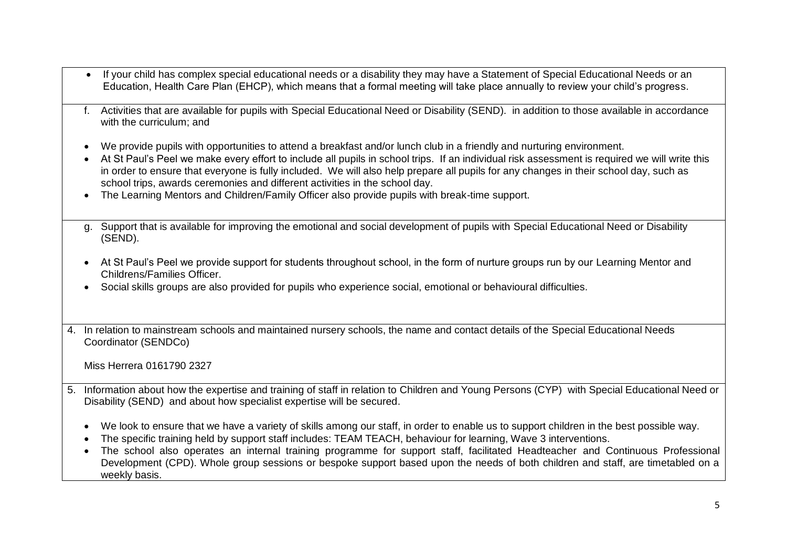If your child has complex special educational needs or a disability they may have a Statement of Special Educational Needs or an Education, Health Care Plan (EHCP), which means that a formal meeting will take place annually to review your child's progress. f. Activities that are available for pupils with Special Educational Need or Disability (SEND). in addition to those available in accordance with the curriculum; and We provide pupils with opportunities to attend a breakfast and/or lunch club in a friendly and nurturing environment. At St Paul's Peel we make every effort to include all pupils in school trips. If an individual risk assessment is required we will write this in order to ensure that everyone is fully included. We will also help prepare all pupils for any changes in their school day, such as school trips, awards ceremonies and different activities in the school day. The Learning Mentors and Children/Family Officer also provide pupils with break-time support. g. Support that is available for improving the emotional and social development of pupils with Special Educational Need or Disability (SEND). At St Paul's Peel we provide support for students throughout school, in the form of nurture groups run by our Learning Mentor and Childrens/Families Officer. Social skills groups are also provided for pupils who experience social, emotional or behavioural difficulties. 4. In relation to mainstream schools and maintained nursery schools, the name and contact details of the Special Educational Needs Coordinator (SENDCo) Miss Herrera 0161790 2327 5. Information about how the expertise and training of staff in relation to Children and Young Persons (CYP) with Special Educational Need or Disability (SEND) and about how specialist expertise will be secured. We look to ensure that we have a variety of skills among our staff, in order to enable us to support children in the best possible way. The specific training held by support staff includes: TEAM TEACH, behaviour for learning, Wave 3 interventions. The school also operates an internal training programme for support staff, facilitated Headteacher and Continuous Professional Development (CPD). Whole group sessions or bespoke support based upon the needs of both children and staff, are timetabled on a weekly basis.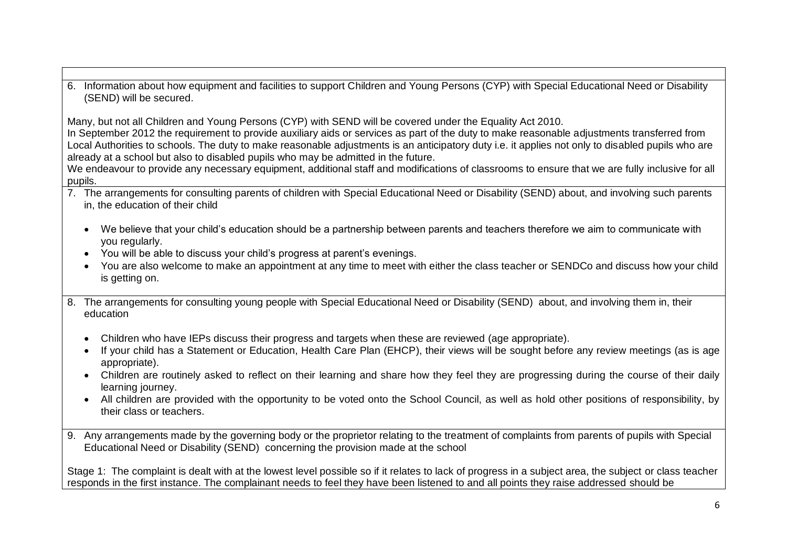6. Information about how equipment and facilities to support Children and Young Persons (CYP) with Special Educational Need or Disability (SEND) will be secured.

Many, but not all Children and Young Persons (CYP) with SEND will be covered under the Equality Act 2010.

In September 2012 the requirement to provide auxiliary aids or services as part of the duty to make reasonable adjustments transferred from Local Authorities to schools. The duty to make reasonable adjustments is an anticipatory duty i.e. it applies not only to disabled pupils who are already at a school but also to disabled pupils who may be admitted in the future.

We endeavour to provide any necessary equipment, additional staff and modifications of classrooms to ensure that we are fully inclusive for all pupils.

- 7. The arrangements for consulting parents of children with Special Educational Need or Disability (SEND) about, and involving such parents in, the education of their child
	- We believe that your child's education should be a partnership between parents and teachers therefore we aim to communicate with you regularly.
	- You will be able to discuss your child's progress at parent's evenings.
	- You are also welcome to make an appointment at any time to meet with either the class teacher or SENDCo and discuss how your child is getting on.
- 8. The arrangements for consulting young people with Special Educational Need or Disability (SEND) about, and involving them in, their education
	- Children who have IEPs discuss their progress and targets when these are reviewed (age appropriate).
	- If your child has a Statement or Education, Health Care Plan (EHCP), their views will be sought before any review meetings (as is age appropriate).
	- Children are routinely asked to reflect on their learning and share how they feel they are progressing during the course of their daily learning journey.
	- All children are provided with the opportunity to be voted onto the School Council, as well as hold other positions of responsibility, by their class or teachers.
- 9. Any arrangements made by the governing body or the proprietor relating to the treatment of complaints from parents of pupils with Special Educational Need or Disability (SEND) concerning the provision made at the school

Stage 1: The complaint is dealt with at the lowest level possible so if it relates to lack of progress in a subject area, the subject or class teacher responds in the first instance. The complainant needs to feel they have been listened to and all points they raise addressed should be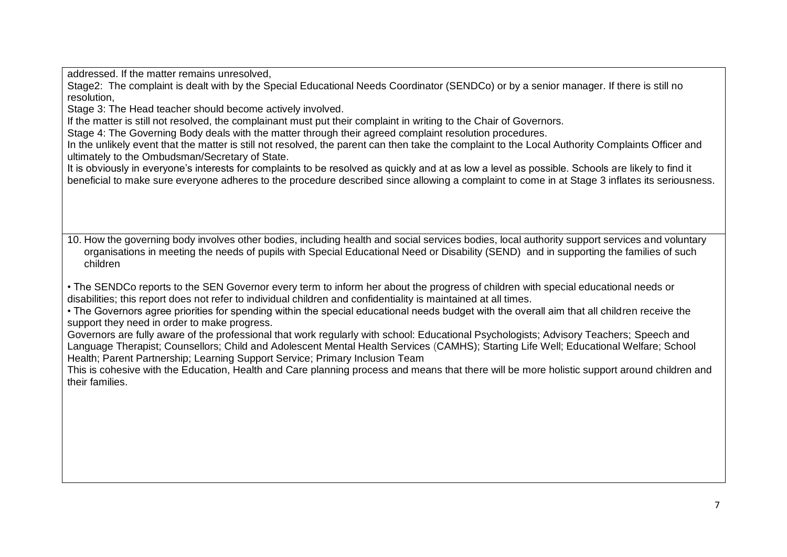addressed. If the matter remains unresolved,

Stage2: The complaint is dealt with by the Special Educational Needs Coordinator (SENDCo) or by a senior manager. If there is still no resolution,

Stage 3: The Head teacher should become actively involved.

If the matter is still not resolved, the complainant must put their complaint in writing to the Chair of Governors.

Stage 4: The Governing Body deals with the matter through their agreed complaint resolution procedures.

In the unlikely event that the matter is still not resolved, the parent can then take the complaint to the Local Authority Complaints Officer and ultimately to the Ombudsman/Secretary of State.

It is obviously in everyone's interests for complaints to be resolved as quickly and at as low a level as possible. Schools are likely to find it beneficial to make sure everyone adheres to the procedure described since allowing a complaint to come in at Stage 3 inflates its seriousness.

10. How the governing body involves other bodies, including health and social services bodies, local authority support services and voluntary organisations in meeting the needs of pupils with Special Educational Need or Disability (SEND) and in supporting the families of such children

• The SENDCo reports to the SEN Governor every term to inform her about the progress of children with special educational needs or disabilities; this report does not refer to individual children and confidentiality is maintained at all times.

• The Governors agree priorities for spending within the special educational needs budget with the overall aim that all children receive the support they need in order to make progress.

Governors are fully aware of the professional that work regularly with school: Educational Psychologists; Advisory Teachers; Speech and Language Therapist; Counsellors; Child and Adolescent Mental Health Services (CAMHS); Starting Life Well; Educational Welfare; School Health; Parent Partnership; Learning Support Service; Primary Inclusion Team

This is cohesive with the Education, Health and Care planning process and means that there will be more holistic support around children and their families.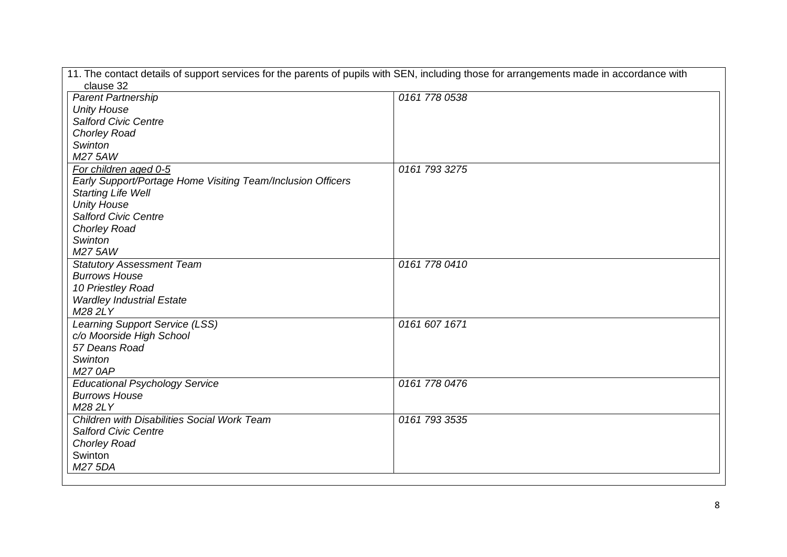| 11. The contact details of support services for the parents of pupils with SEN, including those for arrangements made in accordance with |               |  |  |
|------------------------------------------------------------------------------------------------------------------------------------------|---------------|--|--|
| clause 32                                                                                                                                |               |  |  |
| <b>Parent Partnership</b>                                                                                                                | 0161 778 0538 |  |  |
| <b>Unity House</b>                                                                                                                       |               |  |  |
| <b>Salford Civic Centre</b>                                                                                                              |               |  |  |
| <b>Chorley Road</b>                                                                                                                      |               |  |  |
| Swinton                                                                                                                                  |               |  |  |
| M27 5AW                                                                                                                                  |               |  |  |
| For children aged 0-5                                                                                                                    | 0161 793 3275 |  |  |
| Early Support/Portage Home Visiting Team/Inclusion Officers                                                                              |               |  |  |
| <b>Starting Life Well</b>                                                                                                                |               |  |  |
| <b>Unity House</b>                                                                                                                       |               |  |  |
| <b>Salford Civic Centre</b>                                                                                                              |               |  |  |
| <b>Chorley Road</b>                                                                                                                      |               |  |  |
| Swinton                                                                                                                                  |               |  |  |
| M275AW                                                                                                                                   |               |  |  |
| <b>Statutory Assessment Team</b>                                                                                                         | 0161 778 0410 |  |  |
| <b>Burrows House</b>                                                                                                                     |               |  |  |
| 10 Priestley Road                                                                                                                        |               |  |  |
| <b>Wardley Industrial Estate</b>                                                                                                         |               |  |  |
| M282LY                                                                                                                                   |               |  |  |
| Learning Support Service (LSS)                                                                                                           | 0161 607 1671 |  |  |
| c/o Moorside High School                                                                                                                 |               |  |  |
| 57 Deans Road                                                                                                                            |               |  |  |
| Swinton                                                                                                                                  |               |  |  |
| <b>M27 0AP</b>                                                                                                                           |               |  |  |
| <b>Educational Psychology Service</b>                                                                                                    | 0161 778 0476 |  |  |
| <b>Burrows House</b>                                                                                                                     |               |  |  |
| M282LY                                                                                                                                   |               |  |  |
| Children with Disabilities Social Work Team                                                                                              | 0161 793 3535 |  |  |
| <b>Salford Civic Centre</b>                                                                                                              |               |  |  |
| <b>Chorley Road</b>                                                                                                                      |               |  |  |
| Swinton                                                                                                                                  |               |  |  |
| M27 5DA                                                                                                                                  |               |  |  |
|                                                                                                                                          |               |  |  |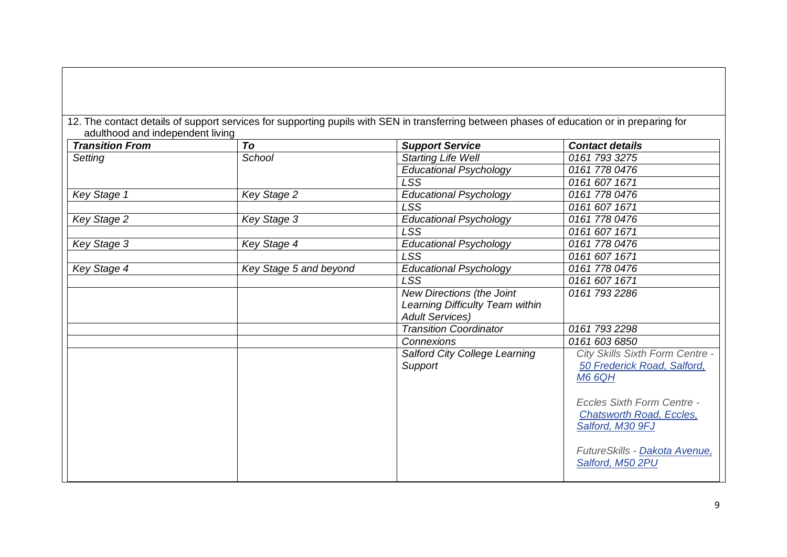12. The contact details of support services for supporting pupils with SEN in transferring between phases of education or in preparing for adulthood and independent living

| <b>Transition From</b> | To                     | <b>Support Service</b>          | <b>Contact details</b>                                                                                                    |
|------------------------|------------------------|---------------------------------|---------------------------------------------------------------------------------------------------------------------------|
| Setting                | School                 | <b>Starting Life Well</b>       | 0161 793 3275                                                                                                             |
|                        |                        | <b>Educational Psychology</b>   | 0161 778 0476                                                                                                             |
|                        |                        | <b>LSS</b>                      | 0161 607 1671                                                                                                             |
| Key Stage 1            | <b>Key Stage 2</b>     | <b>Educational Psychology</b>   | 0161 778 0476                                                                                                             |
|                        |                        | <b>LSS</b>                      | 0161 607 1671                                                                                                             |
| Key Stage 2            | Key Stage 3            | <b>Educational Psychology</b>   | 0161 778 0476                                                                                                             |
|                        |                        | <b>LSS</b>                      | 0161 607 1671                                                                                                             |
| Key Stage 3            | Key Stage 4            | <b>Educational Psychology</b>   | 0161 778 0476                                                                                                             |
|                        |                        | <b>LSS</b>                      | 0161 607 1671                                                                                                             |
| Key Stage 4            | Key Stage 5 and beyond | <b>Educational Psychology</b>   | 0161 778 0476                                                                                                             |
|                        |                        | <b>LSS</b>                      | 0161 607 1671                                                                                                             |
|                        |                        | New Directions (the Joint       | 0161 793 2286                                                                                                             |
|                        |                        | Learning Difficulty Team within |                                                                                                                           |
|                        |                        | <b>Adult Services)</b>          |                                                                                                                           |
|                        |                        | <b>Transition Coordinator</b>   | 0161 793 2298                                                                                                             |
|                        |                        | Connexions                      | 0161 603 6850                                                                                                             |
|                        |                        | Salford City College Learning   | City Skills Sixth Form Centre -                                                                                           |
|                        |                        | Support                         | 50 Frederick Road, Salford,<br><b>M6 6QH</b>                                                                              |
|                        |                        |                                 | <b>Eccles Sixth Form Centre -</b><br><b>Chatsworth Road, Eccles,</b><br>Salford, M30 9FJ<br>FutureSkills - Dakota Avenue, |
|                        |                        |                                 | Salford, M50 2PU                                                                                                          |